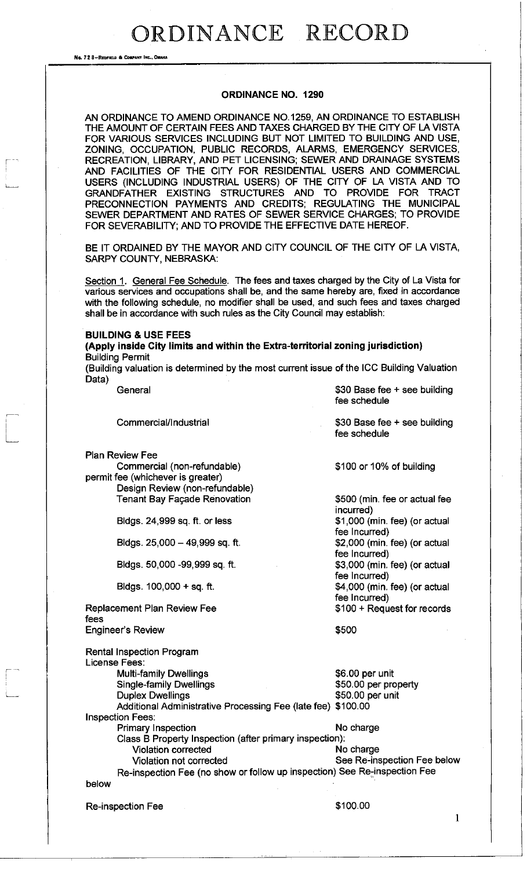No. 72 B-REDFIELD & COMPANY INC.. OMAKA

### **ORDINANCE NO. 1290**

AN ORDINANCE TO AMEND ORDINANCE NO. 1259, AN ORDINANCE TO ESTABLISH THE AMOUNT OF CERTAIN FEES AND TAXES CHARGED BY THE CITY OF LA VISTA FOR VARIOUS SERVICES INCLUDING BUT NOT LIMITED TO BUILDING AND USE, ZONING, OCCUPATION, PUBLIC RECORDS, ALARMS, EMERGENCY SERVICES, RECREATION, LIBRARY, AND PET LICENSING; SEWER AND DRAINAGE SYSTEMS AND FACILITIES OF THE CITY FOR RESIDENTIAL USERS AND COMMERCIAL USERS (INCLUDING INDUSTRIAL USERS) OF THE CITY OF LA VISTA AND TO GRANDFATHER EXISTING STRUCTURES AND TO PROVIDE FOR TRACT PRECONNECTION PAYMENTS AND CREDITS; REGULATING THE MUNICIPAL SEWER DEPARTMENT AND RATES OF SEWER SERVICE CHARGES; TO PROVIDE FOR SEVERABILITY; AND TO PROVIDE THE EFFECTIVE DATE HEREOF.

BE IT ORDAINED BY THE MAYOR AND CITY COUNCIL OF THE CITY OF LA VISTA, SARPY COUNTY, NEBRASKA:

Section 1. General Fee Schedule. The fees and taxes charged by the City of La Vista for various services and occupations shall be, and the same hereby are, fixed in accordance with the following schedule, no modifier shall be used, and such fees and taxes charged shall be in accordance with such rules as the City Council may establish:

#### **BUILDING & USE FEES**

**(Apply inside City limits and within the Extra-territorial zoning jurisdiction)**  Building Permit

(Building valuation is determined by the most current issue of the ICC Building Valuation Data)

| ,     | General                                                                   | \$30 Base fee $+$ see building<br>fee schedule |
|-------|---------------------------------------------------------------------------|------------------------------------------------|
|       | Commercial/Industrial                                                     | \$30 Base fee + see building<br>fee schedule   |
|       | <b>Plan Review Fee</b>                                                    |                                                |
|       | Commercial (non-refundable)                                               | \$100 or 10% of building                       |
|       | permit fee (whichever is greater)                                         |                                                |
|       | Design Review (non-refundable)                                            |                                                |
|       | <b>Tenant Bay Façade Renovation</b>                                       | \$500 (min. fee or actual fee<br>incurred)     |
|       | Bldgs. 24,999 sq. ft. or less                                             | \$1,000 (min. fee) (or actual<br>fee Incurred) |
|       | Bldgs. $25,000 - 49,999$ sq. ft.                                          | \$2,000 (min. fee) (or actual<br>fee Incurred) |
|       | Bldgs. 50,000 -99,999 sq. ft.                                             | \$3,000 (min. fee) (or actual                  |
|       |                                                                           | fee Incurred)                                  |
|       | Bldgs. 100,000 + sq. ft.                                                  | \$4,000 (min. fee) (or actual                  |
|       |                                                                           | fee Incurred)                                  |
| fees  | Replacement Plan Review Fee                                               | \$100 + Request for records                    |
|       | <b>Engineer's Review</b>                                                  | \$500                                          |
|       | <b>Rental Inspection Program</b><br>License Fees:                         |                                                |
|       | <b>Multi-family Dwellings</b>                                             | \$6.00 per unit                                |
|       | <b>Single-family Dwellings</b>                                            | \$50.00 per property                           |
|       | <b>Duplex Dwellings</b>                                                   | \$50.00 per unit                               |
|       | Additional Administrative Processing Fee (late fee) \$100.00              |                                                |
|       | <b>Inspection Fees:</b>                                                   |                                                |
|       | <b>Primary Inspection</b>                                                 | No charge                                      |
|       | Class B Property Inspection (after primary inspection):                   |                                                |
|       | <b>Violation corrected</b>                                                | No charge                                      |
|       | Violation not corrected                                                   | See Re-inspection Fee below                    |
|       | Re-inspection Fee (no show or follow up inspection) See Re-inspection Fee |                                                |
| below |                                                                           |                                                |
|       | <b>Re-inspection Fee</b>                                                  | \$100.00                                       |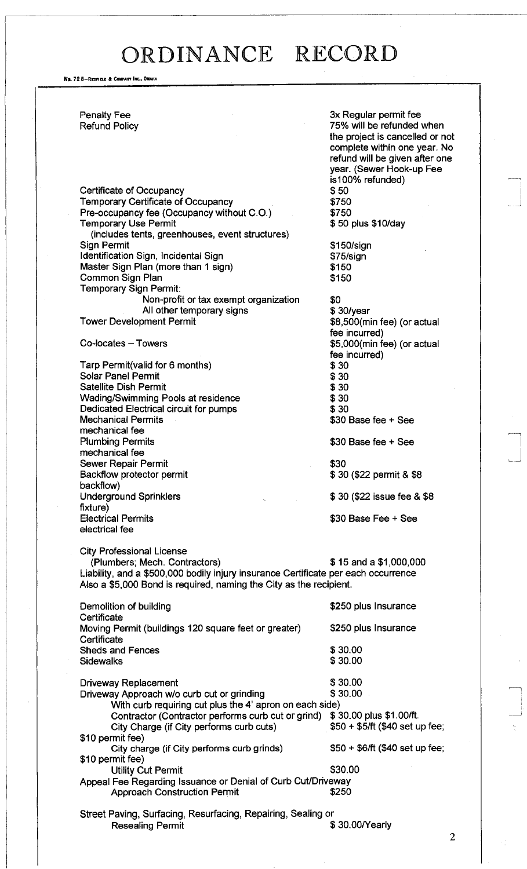No. 72 8-REDFIELD & COMPANY INC., OMAHA

Penalty Fee 3x Regular permit fee

Certificate of Occupancy<br>
Temporary Certificate of Occupancy<br>
\$750 Temporary Certificate of Occupancy \$750 Pre-occupancy fee (Occupancy without C.O.) \$750 Temporary Use Permit **1200 and 1200 and 1200 and 1300 and 1300 and 1300 and 1300 and 1300 and 1300 and 1300 and 1300 and 1300 and 1300 and 1300 and 1300 and 1300 and 1300 and 1300 and 1300 and 1300 and 1300 and 1300 and 13** (includes tents, greenhouses, event structures) Sign Permit \$150/sign Identification Sign, Incidental Sign **\$75/sign** Master Sign Plan (more than 1 sign) \$150 Common Sign Plan \$150 Temporary Sign Permit: Non-profit or tax exempt organization \$0<br>All other temporary signs \$30/year All other temporary signs

Tarp Permit(valid for 6 months) \$30 Solar Panel Permit \$30<br>Satellite Dish Permit \$30 Satellite Dish Permit Wading/Swimming Pools at residence  $$30$ Dedicated Electrical circuit for pumps  $$30$ Mechanical Permits **\$30 Base fee + See** mechanical fee Plumbing Permits **\$30 Base fee + See** mechanical fee Sewer Repair Permit<br>Backflow protector permit  $$30$ <br>Backflow protector permit Backflow protector permit backflow) Underground Sprinklers  $$ 30 ($22$ is such the 8 $8$ fixture) Electrical Permits \$30 Base Fee + See electrical fee

City Professional License

Refund Policy 75% will be refunded when the project is cancelled or not complete within one year. No refund will be given after one year. (Sewer Hook-up Fee is 100% refunded)

Tower Development Permit **1998** and 1999 and 1999 states \$8,500(min fee) (or actual fee incurred) Co-locates – Towers **but a computer of the Southern States**  $$5,000$ (min fee) (or actual fee incurred)

(Plumbers; Mech. Contractors) \$ 15 and a \$1,000,000 Liability, and a \$500,000 bodily injury insurance Certificate per each occurrence Also a \$5,000 Bond is required, naming the City as the recipient.

| Demolition of building<br>Certificate                                      | \$250 plus Insurance            |
|----------------------------------------------------------------------------|---------------------------------|
| Moving Permit (buildings 120 square feet or greater)<br>Certificate        | \$250 plus Insurance            |
| <b>Sheds and Fences</b>                                                    | \$30.00                         |
| Sidewalks                                                                  | \$30.00                         |
| <b>Driveway Replacement</b>                                                | \$30.00                         |
| Driveway Approach w/o curb cut or grinding                                 | \$30.00                         |
| With curb requiring cut plus the 4' apron on each side)                    |                                 |
| Contractor (Contractor performs curb cut or grind) \$30.00 plus \$1.00/ft. |                                 |
| City Charge (if City performs curb cuts)                                   | $$50 + $5/ft$ (\$40 set up fee; |
| \$10 permit fee)                                                           |                                 |
| City charge (if City performs curb grinds)                                 | $$50 + $6/ft ($40 set up fee;$  |
| \$10 permit fee)                                                           |                                 |
| <b>Utility Cut Permit</b>                                                  | \$30,00                         |
| Appeal Fee Regarding Issuance or Denial of Curb Cut/Driveway               |                                 |
| <b>Approach Construction Permit</b>                                        | \$250                           |
| Street Paving, Surfacing, Resurfacing, Repairing, Sealing or               |                                 |
| <b>Resealing Permit</b>                                                    | \$30.00/Yearly                  |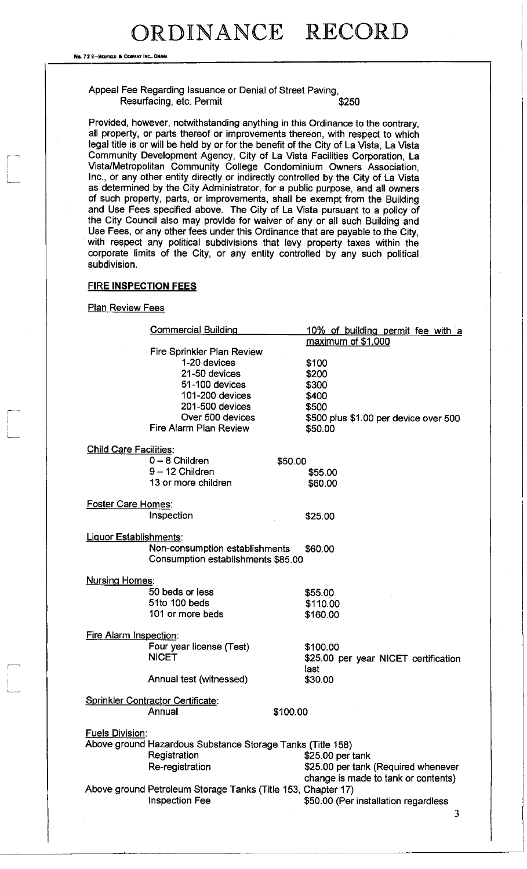No. 72 8-REDFIELD & COMPANY INC., OMAHA

### Appeal Fee Regarding Issuance or Denial of Street Paving, Resurfacing, etc. Permit  $$250$

Provided, however, notwithstanding anything in this Ordinance to the contrary, all property, or parts thereof or improvements thereon, with respect to which legal title is or will be held by or for the benefit of the City of La Vista, La Vista Community Development Agency, City of La Vista Facilities Corporation, La Vista/Metropolitan Community College Condominium Owners Association, Inc., or any other entity directly or indirectly controlled by the City of La Vista as determined by the City Administrator, for a public purpose, and all owners of such property, parts, or improvements, shall be exempt from the Building and Use Fees specified above. The City of La Vista pursuant to a policy of the City Council also may provide for waiver of any or all such Building and Use Fees, or any other fees under this Ordinance that are payable to the City, with respect any political subdivisions that levy property taxes within the corporate limits of the City, or any entity controlled by any such political subdivision.

### **FIRE INSPECTION FEES**

### **Plan Review Fees**

|                               | <b>Commercial Building</b>                                   |          | 10% of building permit fee with a     |
|-------------------------------|--------------------------------------------------------------|----------|---------------------------------------|
|                               |                                                              |          | maximum of \$1,000                    |
|                               | Fire Sprinkler Plan Review                                   |          |                                       |
|                               | 1-20 devices                                                 |          | \$100                                 |
|                               | 21-50 devices                                                |          | \$200                                 |
|                               | 51-100 devices                                               |          | \$300                                 |
|                               | 101-200 devices                                              |          | \$400                                 |
|                               | 201-500 devices                                              |          | \$500                                 |
|                               | Over 500 devices                                             |          | \$500 plus \$1.00 per device over 500 |
|                               | <b>Fire Alarm Plan Review</b>                                |          | \$50.00                               |
| <b>Child Care Facilities:</b> |                                                              |          |                                       |
|                               | $0 - 8$ Children                                             | \$50.00  |                                       |
|                               | $9 - 12$ Children                                            |          | \$55.00                               |
|                               | 13 or more children                                          |          | \$60.00                               |
|                               |                                                              |          |                                       |
| <b>Foster Care Homes:</b>     |                                                              |          |                                       |
|                               | Inspection                                                   |          | \$25.00                               |
| Liquor Establishments:        |                                                              |          |                                       |
|                               | Non-consumption establishments                               |          | \$60.00                               |
|                               | Consumption establishments \$85.00                           |          |                                       |
| <b>Nursing Homes:</b>         |                                                              |          |                                       |
|                               | 50 beds or less                                              |          | \$55.00                               |
|                               | 51to 100 beds                                                |          | \$110.00                              |
|                               | 101 or more beds                                             |          |                                       |
|                               |                                                              |          | \$160.00                              |
| Fire Alarm Inspection:        |                                                              |          |                                       |
|                               | Four year license (Test)                                     |          | \$100.00                              |
|                               | <b>NICET</b>                                                 |          | \$25.00 per year NICET certification  |
|                               |                                                              |          | last                                  |
|                               | Annual test (witnessed)                                      |          | \$30.00                               |
|                               | <b>Sprinkler Contractor Certificate:</b>                     |          |                                       |
|                               | Annual                                                       | \$100.00 |                                       |
|                               |                                                              |          |                                       |
| <b>Fuels Division:</b>        |                                                              |          |                                       |
|                               | Above ground Hazardous Substance Storage Tanks (Title 158)   |          |                                       |
|                               | Registration                                                 |          | \$25.00 per tank                      |
|                               | Re-registration                                              |          | \$25.00 per tank (Required whenever   |
|                               |                                                              |          | change is made to tank or contents)   |
|                               | Above ground Petroleum Storage Tanks (Title 153, Chapter 17) |          |                                       |
|                               | Inspection Fee                                               |          | \$50.00 (Per installation regardless  |
|                               |                                                              |          |                                       |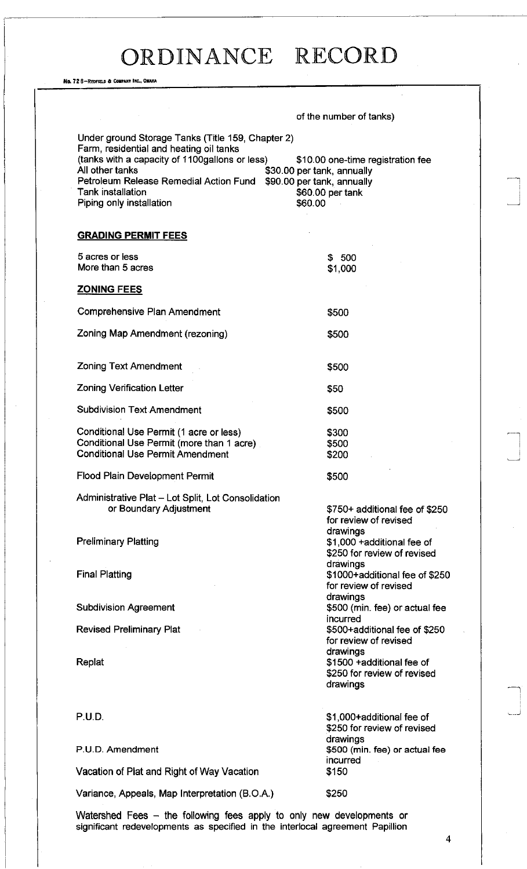No. 72 6-REDFIELD 6 COHPANT INC.. OMAHA

|                                                                                                                                                                                                                                                                     | of the number of tanks)                                                                                                      |
|---------------------------------------------------------------------------------------------------------------------------------------------------------------------------------------------------------------------------------------------------------------------|------------------------------------------------------------------------------------------------------------------------------|
| Under ground Storage Tanks (Title 159, Chapter 2)<br>Farm, residential and heating oil tanks<br>(tanks with a capacity of 1100gallons or less)<br>All other tanks<br>Petroleum Release Remedial Action Fund<br><b>Tank installation</b><br>Piping only installation | \$10.00 one-time registration fee<br>\$30.00 per tank, annually<br>\$90.00 per tank, annually<br>\$60.00 per tank<br>\$60.00 |
| <b>GRADING PERMIT FEES</b>                                                                                                                                                                                                                                          |                                                                                                                              |
| 5 acres or less<br>More than 5 acres                                                                                                                                                                                                                                | \$500<br>\$1,000                                                                                                             |
| <b>ZONING FEES</b>                                                                                                                                                                                                                                                  |                                                                                                                              |
| Comprehensive Plan Amendment                                                                                                                                                                                                                                        | \$500                                                                                                                        |
| Zoning Map Amendment (rezoning)                                                                                                                                                                                                                                     | \$500                                                                                                                        |
| <b>Zoning Text Amendment</b>                                                                                                                                                                                                                                        | \$500                                                                                                                        |
| <b>Zoning Verification Letter</b>                                                                                                                                                                                                                                   | \$50                                                                                                                         |
| <b>Subdivision Text Amendment</b>                                                                                                                                                                                                                                   | \$500                                                                                                                        |
| Conditional Use Permit (1 acre or less)<br>Conditional Use Permit (more than 1 acre).<br><b>Conditional Use Permit Amendment</b>                                                                                                                                    | \$300<br>\$500<br>\$200                                                                                                      |
| Flood Plain Development Permit                                                                                                                                                                                                                                      | \$500                                                                                                                        |
| Administrative Plat - Lot Split, Lot Consolidation<br>or Boundary Adjustment                                                                                                                                                                                        | \$750+ additional fee of \$250<br>for review of revised                                                                      |
| <b>Preliminary Platting</b>                                                                                                                                                                                                                                         | drawings<br>\$1,000 +additional fee of<br>\$250 for review of revised                                                        |
| <b>Final Platting</b>                                                                                                                                                                                                                                               | drawings<br>\$1000+additional fee of \$250<br>for review of revised                                                          |
| <b>Subdivision Agreement</b>                                                                                                                                                                                                                                        | drawings<br>\$500 (min. fee) or actual fee<br>incurred                                                                       |
| <b>Revised Preliminary Plat</b>                                                                                                                                                                                                                                     | \$500+additional fee of \$250<br>for review of revised<br>drawings                                                           |
| Replat                                                                                                                                                                                                                                                              | \$1500 +additional fee of<br>\$250 for review of revised<br>drawings                                                         |
| P.U.D.                                                                                                                                                                                                                                                              | \$1,000+additional fee of<br>\$250 for review of revised<br>drawings                                                         |
| P.U.D. Amendment                                                                                                                                                                                                                                                    | \$500 (min. fee) or actual fee<br>incurred                                                                                   |
| Vacation of Plat and Right of Way Vacation                                                                                                                                                                                                                          | \$150                                                                                                                        |
| Variance, Appeals, Map Interpretation (B.O.A.)                                                                                                                                                                                                                      | \$250                                                                                                                        |
|                                                                                                                                                                                                                                                                     |                                                                                                                              |

Watershed Fees – the following fees apply to only new developments or significant redevelopments as specified in the interlocal agreement Papillion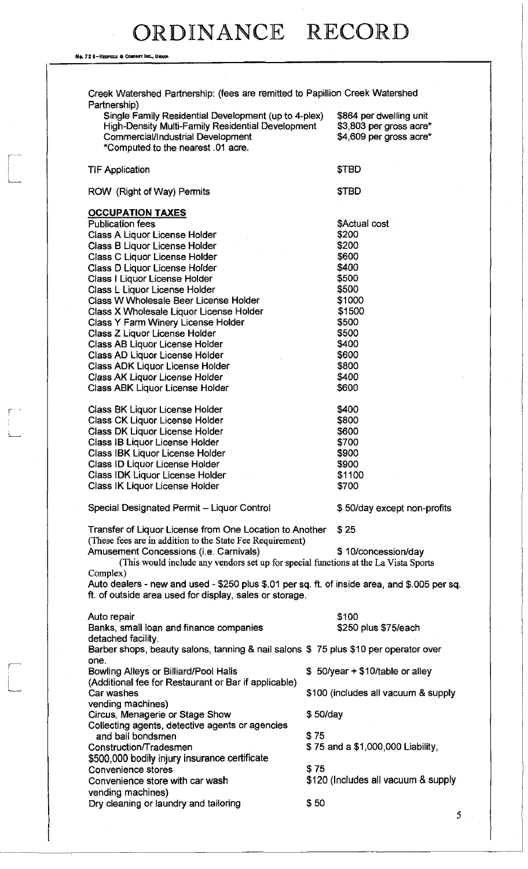No. 72 8-REDFIELD & COMPANY INC., OMAH

Creek Watershed Partnership: (fees are remitted to Papillion Creek Watershed Partnership) Single Family Residential Development (up to 4-plex) \$864 per dwelling unit<br>High-Density Multi-Family Residential Development \$3,803 per gross acre\* High-Density Multi-Family Residential Development Commercial/Industrial Development \$4,609 per gross acre\* \*Computed to the nearest .01 acre. TIF Application ROW (Right of Way) Permits **OCCUPATION TAXES** Publication fees Class A Liquor License Holder Class B Liquor License Holder Class C Liquor License Holder Class D Liquor License Holder Class I Liquor License Holder Class L Liquor License Holder Class W Wholesale Beer License Holder Class X Wholesale Liquor License Holder Class Y Farm Winery License Holder Class Z Liquor License Holder Class AB Liquor License Holder Class AD Liquor License Holder Class ADK Liquor License Holder Class AK Liquor License Holder Class ABK Liquor License Holder Class BK Liquor License Holder Class CK Liquor License Holder Class DK Liquor License Holder Class IB Liquor License Holder Class IBK Liquor License Holder Class ID Liquor License Holder Class IDK Liquor License Holder Class IK Liquor License Holder \$TBD \$TBD \$Actual cost \$200 \$200 \$600 \$400 \$500 \$500 \$1000 \$1500 \$500 \$500 \$400 \$600 \$800 \$400 \$600 \$400 \$800 \$600 \$700 \$900 \$900 \$1100 \$700 Special Designated Permit - Liquor Control  $$50/day$  except non-profits Transfer of Liquor License from One Location to Another \$ 25 (These fees are in addition to the State Fee Requirement) Amusement Concessions (i.e. Carnivals)  $$ 10$ /concession/day (This would include any vendors set up for special functions at the La Vista Sports Complex) Auto dealers - new and used - \$250 plus \$.01 per sq. ft. of inside area, and \$.005 per sq. ft. of outside area used for display, sales or storage. \$100 \$250 plus \$75/each Auto repair Banks, small loan and finance companies detached facility. Barber shops, beauty salons, tanning & nail salons \$ 75 plus \$10 per operator over one. Bowling Alleys or Billiard/Pool Halls (Additional fee for Restaurant or Bar if applicable) Car washes vending machines) Circus, Menagerie or Stage Show Collecting agents, detective agents or agencies and bail bondsmen Construction/T radesmen **\$500,000** bodily injury insurance certificate Convenience stores Convenience store with car wash vending machines) Dry cleaning or laundry and tailoring \$ 50/year + \$10/table or alley \$100 (includes all vacuum & supply \$ 50/day \$75 \$ 75 and a \$1,000,000 Liability, \$75 \$120 (Includes all vacuum & supply \$50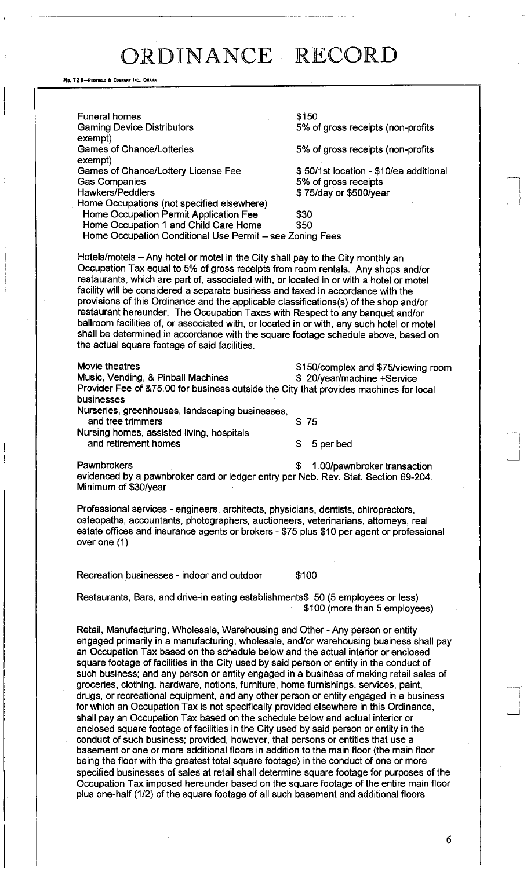No. 72 8-REDFIELO 6 COMPANY INC., OMAHA

Funeral homes Gaming Device Distributors exempt) Games of Chance/Lotteries exempt) Games of Chance/Lottery License Fee Gas Companies Hawkers/Peddlers Home Occupations (not specified elsewhere) Home Occupation Permit Application Fee Home Occupation 1 and Child Care Home \$150 5% of gross receipts (non-profits 5% of gross receipts (non-profits \$ 50/1 st location - \$10/ea additional 5% of gross receipts \$ 75/day or \$500/year \$30 \$50 Home Occupation Conditional Use Permit - see Zoning Fees Hotels/motels - Any hotel or motel in the City shall pay to the City monthly an Occupation Tax equal to 5% of gross receipts from room rentals. Any shops and/or restaurants, which are part of, associated with, or located in or with a hotel or motel facility will be considered a separate business and taxed in accordance with the provisions of this Ordinance and the applicable classifications(s) of the shop and/or

restaurant hereunder. The Occupation Taxes with Respect to any banquet and/or ballroom facilities of, or associated with, or located in or with, any such hotel or motel shall be determined in accordance with the square footage schedule above, based on the actual square footage of said facilities.

Movie theatres **\$150/complex and \$75/viewing room** Music, Vending, & Pinball Machines  $\qquad \qquad$  \$ 20/year/machine +Service Provider Fee of &75.00 for business outside the City that provides machines for local businesses Nurseries, greenhouses, landscaping businesses, and tree trimmers \$ 75 Nursing homes, assisted living, hospitals and retirement homes  $\qquad \qquad$  \$ 5 per bed

Pawnbrokers **being the set of the set of the set of the set of the set of the set of the set of the set of the set of the set of the set of the set of the set of the set of the set of the set of the set of the set of the s** evidenced by a pawnbroker card or ledger entry per Neb. Rev. Stat. Section 69-204. Minimum of \$30/year

Professional services - engineers, architects, physicians, dentists, chiropractors, osteopaths, accountants, photographers, auctioneers, veterinarians, attorneys, real estate offices and insurance agents or brokers - \$75 plus \$10 per agent or professional over one (1)

Recreation businesses - indoor and outdoor \$100

Restaurants, Bars, and drive-in eating establishments\$ 50 (5 employees or less) \$100 (more than 5 employees)

Retail, Manufacturing, Wholesale, Warehousing and Other - Any person or entity engaged primarily in a manufacturing, wholesale, and/or warehousing business shall pay an Occupation Tax based on the schedule below and the actual interior or enclosed square footage of facilities in the City used by said person or entity in the conduct of such business; and any person or entity engaged in a business of making retail sales of groceries, clothing, hardware, notions, furniture, home furnishings, services, paint, drugs, or recreational equipment, and any other person or entity engaged in a business for which an Occupation Tax is not specifically provided elsewhere in this Ordinance, shall pay an Occupation Tax based on the schedule below and actual interior or enclosed square footage of facilities in the City used by said person or entity in the conduct of such business; provided, however, that persons or entities that use a basement or one or more additional floors in addition to the main floor (the main floor being the floor with the greatest total square footage) in the conduct of one or more specified businesses of sales at retail shall determine square footage for purposes of the Occupation Tax imposed hereunder based on the square footage of the entire main floor plus one-half (1/2) of the square footage of all such basement and additional floors.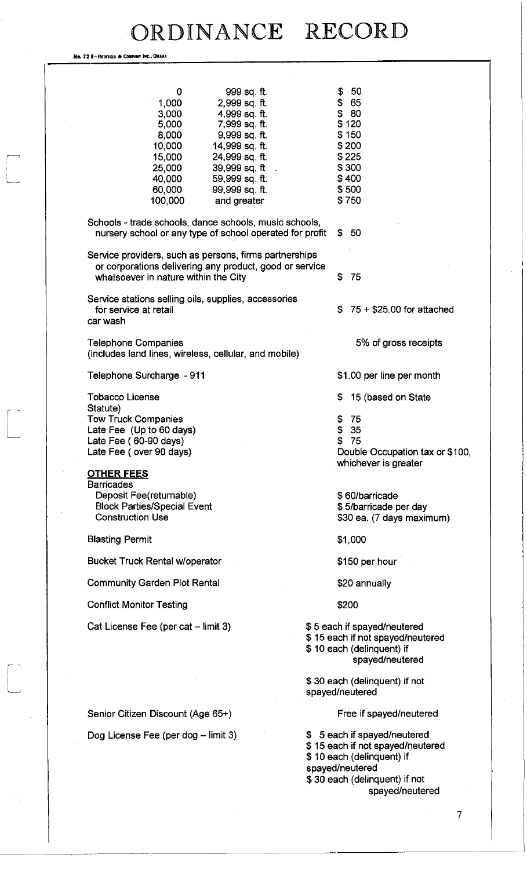No. 72 8-REDFIELD & COMPANY INC., OMAHA

 $\sqrt{2}$ 

 $\begin{bmatrix} 1 & 1 \\ 1 & 1 \end{bmatrix}$ 

| \$<br>50<br>999 sq. ft.<br>0                                                                                                                                                                                                                                                                                                                                      |                                                         |
|-------------------------------------------------------------------------------------------------------------------------------------------------------------------------------------------------------------------------------------------------------------------------------------------------------------------------------------------------------------------|---------------------------------------------------------|
| \$65<br>1,000<br>2,999 sq. ft.<br>\$80<br>3,000<br>4,999 sq. ft.<br>\$120<br>5,000<br>7,999 sq. ft.<br>8,000<br>\$150<br>9,999 sq. ft.<br>10,000<br>14,999 sq. ft.<br>\$200<br>\$225<br>15,000<br>24,999 sq. ft.<br>39,999 sq. ft<br>\$300<br>25,000<br>\$400<br>40,000<br>59,999 sq. ft.<br>60,000<br>\$500<br>99,999 sq. ft.<br>\$750<br>100,000<br>and greater |                                                         |
| Schools - trade schools, dance schools, music schools,<br>nursery school or any type of school operated for profit<br>\$50                                                                                                                                                                                                                                        |                                                         |
| Service providers, such as persons, firms partnerships<br>or corporations delivering any product, good or service<br>\$<br>-75<br>whatsoever in nature within the City                                                                                                                                                                                            |                                                         |
| Service stations selling oils, supplies, accessories<br>for service at retail<br>S.<br>car wash                                                                                                                                                                                                                                                                   | $75 + $25.00$ for attached                              |
| <b>Telephone Companies</b><br>(includes land lines, wireless, cellular, and mobile)                                                                                                                                                                                                                                                                               | 5% of gross receipts                                    |
| Telephone Surcharge - 911                                                                                                                                                                                                                                                                                                                                         | \$1.00 per line per month                               |
| <b>Tobacco License</b><br>\$                                                                                                                                                                                                                                                                                                                                      | 15 (based on State                                      |
| Statute)<br><b>Tow Truck Companies</b><br>75<br>\$<br>\$<br>35<br>Late Fee (Up to 60 days)<br>\$<br>Late Fee (60-90 days)<br>75<br>Late Fee (over 90 days)<br><b>OTHER FEES</b>                                                                                                                                                                                   | Double Occupation tax or \$100,<br>whichever is greater |
| <b>Barricades</b><br>Deposit Fee(returnable)<br>\$60/barricade<br><b>Block Parties/Special Event</b><br><b>Construction Use</b>                                                                                                                                                                                                                                   | \$5/barricade per day<br>\$30 ea. (7 days maximum)      |
| <b>Blasting Permit</b><br>\$1,000                                                                                                                                                                                                                                                                                                                                 |                                                         |
| <b>Bucket Truck Rental w/operator</b><br>\$150 per hour                                                                                                                                                                                                                                                                                                           |                                                         |
| <b>Community Garden Plot Rental</b><br>\$20 annually                                                                                                                                                                                                                                                                                                              |                                                         |
| <b>Conflict Monitor Testing</b><br>\$200                                                                                                                                                                                                                                                                                                                          |                                                         |
| Cat License Fee (per cat – limit 3)<br>\$5 each if spayed/neutered<br>\$15 each if not spayed/neutered<br>\$10 each (delinquent) if                                                                                                                                                                                                                               | spayed/neutered                                         |
| \$30 each (delinquent) if not<br>spayed/neutered                                                                                                                                                                                                                                                                                                                  |                                                         |
| Senior Citizen Discount (Age 65+)                                                                                                                                                                                                                                                                                                                                 | Free if spayed/neutered                                 |
| \$ 5 each if spayed/neutered<br>Dog License Fee (per dog - limit 3)<br>\$15 each if not spayed/neutered<br>\$10 each (delinquent) if<br>spayed/neutered<br>\$30 each (delinquent) if not                                                                                                                                                                          | spayed/neutered                                         |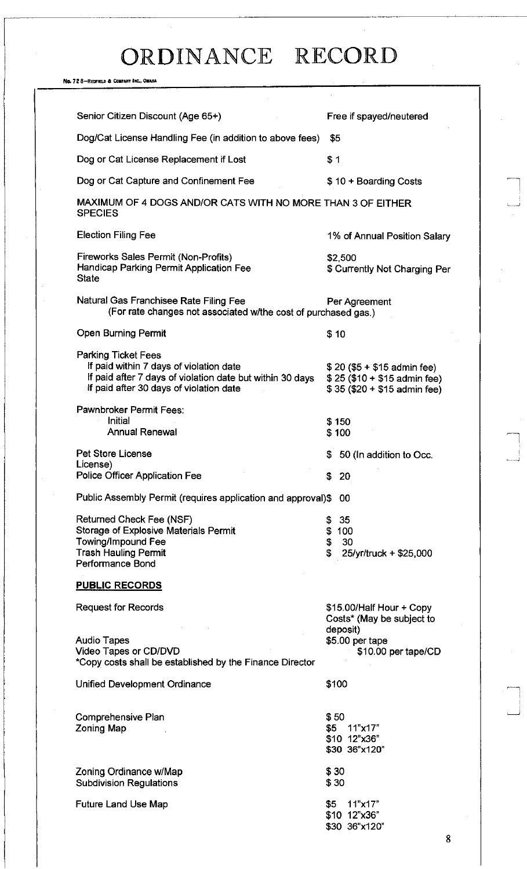No. 72 8-REDFIEU) a COMPANY INC., OMAHA

| Senior Citizen Discount (Age 65+)                                                                                                                                             | Free if spayed/neutered                                                                                     |
|-------------------------------------------------------------------------------------------------------------------------------------------------------------------------------|-------------------------------------------------------------------------------------------------------------|
| Dog/Cat License Handling Fee (in addition to above fees)                                                                                                                      | \$5                                                                                                         |
| Dog or Cat License Replacement if Lost                                                                                                                                        | \$1                                                                                                         |
| Dog or Cat Capture and Confinement Fee                                                                                                                                        | \$10 + Boarding Costs                                                                                       |
| MAXIMUM OF 4 DOGS AND/OR CATS WITH NO MORE THAN 3 OF EITHER<br><b>SPECIES</b>                                                                                                 |                                                                                                             |
| <b>Election Filing Fee</b>                                                                                                                                                    | 1% of Annual Position Salary                                                                                |
| Fireworks Sales Permit (Non-Profits)<br>Handicap Parking Permit Application Fee<br><b>State</b>                                                                               | \$2,500<br>\$ Currently Not Charging Per                                                                    |
| Natural Gas Franchisee Rate Filing Fee<br>(For rate changes not associated w/the cost of purchased gas.)                                                                      | Per Agreement                                                                                               |
| <b>Open Burning Permit</b>                                                                                                                                                    | \$10                                                                                                        |
| <b>Parking Ticket Fees</b><br>If paid within 7 days of violation date<br>If paid after 7 days of violation date but within 30 days<br>If paid after 30 days of violation date | $$20 ($5 + $15$)$ admin fee)<br>$$25 ($10 + $15$$ admin fee)<br>$$35 ($20 + $15$$ admin fee)                |
| Pawnbroker Permit Fees:<br>Initial<br><b>Annual Renewal</b>                                                                                                                   | \$150<br>\$100                                                                                              |
| <b>Pet Store License</b>                                                                                                                                                      | 50 (In addition to Occ.<br>S.                                                                               |
| License)<br><b>Police Officer Application Fee</b>                                                                                                                             | S.<br>-20                                                                                                   |
| Public Assembly Permit (requires application and approval)\$                                                                                                                  | -00                                                                                                         |
| Returned Check Fee (NSF)<br><b>Storage of Explosive Materials Permit</b><br><b>Towing/Impound Fee</b><br><b>Trash Hauling Permit</b><br>Performance Bond                      | 35<br>\$<br>\$<br>100<br>\$<br>30<br>\$<br>25/yr/truck + \$25,000                                           |
| <b>PUBLIC RECORDS</b>                                                                                                                                                         |                                                                                                             |
| <b>Request for Records</b><br><b>Audio Tapes</b><br>Video Tapes or CD/DVD                                                                                                     | \$15.00/Half Hour + Copy<br>Costs* (May be subject to<br>deposit)<br>\$5.00 per tape<br>\$10.00 per tape/CD |
| *Copy costs shall be established by the Finance Director                                                                                                                      |                                                                                                             |
| Unified Development Ordinance                                                                                                                                                 | \$100                                                                                                       |
| Comprehensive Plan<br><b>Zoning Map</b>                                                                                                                                       | \$50<br>11"x17"<br>\$5<br>\$10 12"x36"<br>\$30 36"x120"                                                     |
| Zoning Ordinance w/Map<br><b>Subdivision Regulations</b>                                                                                                                      | \$30<br>\$30                                                                                                |
| <b>Future Land Use Map</b>                                                                                                                                                    | 11"x17"<br>\$5<br>\$10 12"x36"<br>\$30 36"x120"<br>Ω                                                        |

8

 $\begin{array}{c} \begin{array}{c} \begin{array}{c} \end{array} \\ \begin{array}{c} \end{array} \end{array} \end{array}$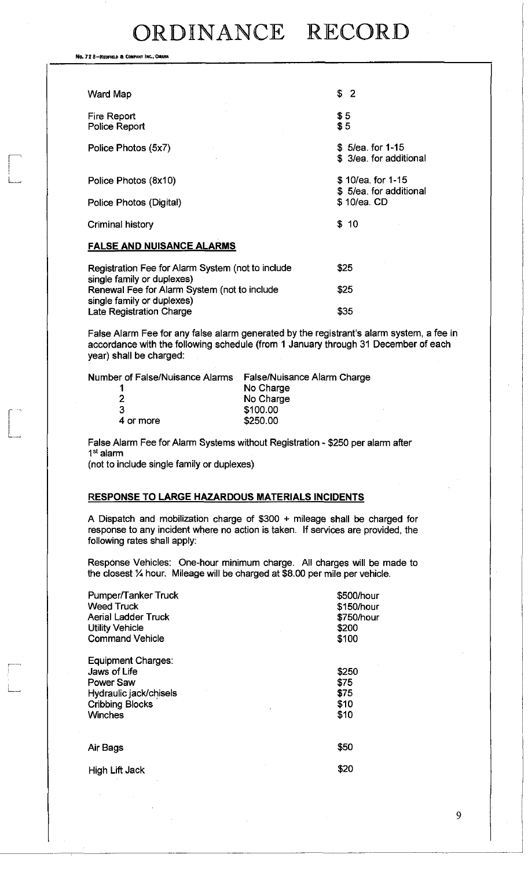No. 72 8-REDFIELD & COMPANY INC., OMAHA

| Ward Map                                                                        | \$2                                          |
|---------------------------------------------------------------------------------|----------------------------------------------|
| Fire Report<br>Police Report                                                    | \$5<br>\$5                                   |
| Police Photos (5x7)                                                             | \$ 5/ea. for 1-15<br>\$ 3/ea. for additional |
| Police Photos (8x10)                                                            | \$10/ea. for 1-15<br>\$5/ea. for additional  |
| Police Photos (Digital)                                                         | \$10/ea. CD                                  |
| Criminal history                                                                | \$10                                         |
| <b>FALSE AND NUISANCE ALARMS</b>                                                |                                              |
| Registration Fee for Alarm System (not to include<br>single family or duplexes) | \$25                                         |
| Renewal Fee for Alarm System (not to include<br>single family or duplexes)      | \$25                                         |
| <b>Late Registration Charge</b>                                                 | \$35                                         |

False Alarm Fee for any false alarm generated by the registrant's alarm system, a fee in accordance with the following schedule (from 1 January through 31 December of each year) shall be charged:

Number of False/Nuisance Alarms False/Nuisance Alarm Charge

| 1         | No Charge |
|-----------|-----------|
| 2         | No Charge |
| 3         | \$100.00  |
| 4 or more | \$250.00  |
|           |           |

False Alarm Fee for Alarm Systems without Registration - \$250 per alarm after 1 st alarm

(not to include single family or duplexes)

### **RESPONSE TO LARGE HAZARDOUS MATERIALS INCIDENTS**

A Dispatch and mobilization charge of \$300 + mileage shall be charged for response to any incident where no action is taken. If services are provided, the following rates shall apply:

Response Vehicles: One-hour minimum charge. All charges will be made to the closest % hour. Mileage will be charged at \$8.00 per mile per vehicle.

| Pumper/Tanker Truck<br><b>Weed Truck</b><br>Aerial Ladder Truck<br><b>Utility Vehicle</b><br><b>Command Vehicle</b>          | \$500/hour<br>\$150/hour<br>\$750/hour<br>\$200<br>\$100 |
|------------------------------------------------------------------------------------------------------------------------------|----------------------------------------------------------|
| Equipment Charges:<br>Jaws of Life<br><b>Power Saw</b><br>Hydraulic jack/chisels<br><b>Cribbing Blocks</b><br><b>Winches</b> | \$250<br>\$75<br>\$75<br>\$10<br>\$10                    |
| Air Bags                                                                                                                     | \$50                                                     |
| <b>High Lift Jack</b>                                                                                                        | \$20                                                     |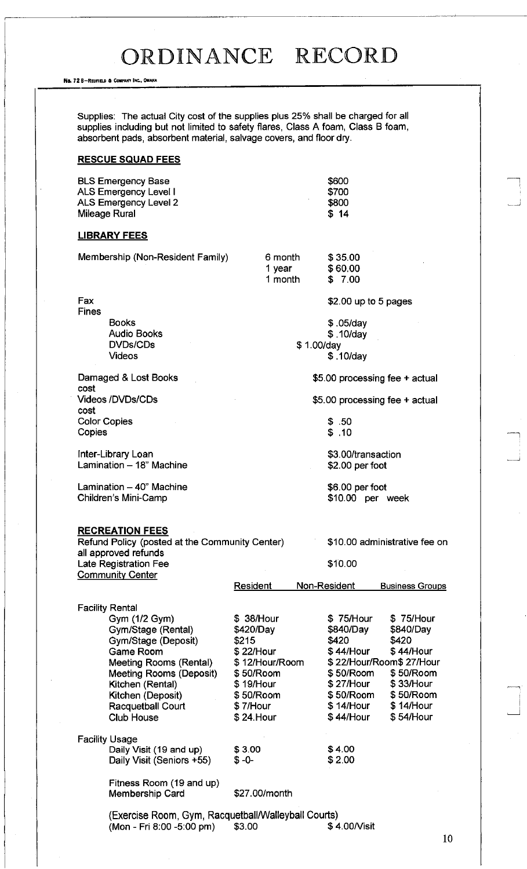No. 72 6-REDFIELD & COMPANY INC., OMAHA

Supplies: The actual City cost of the supplies plus 25% shall be charged for all supplies including but not limited to safety flares, Class A foam, Class B foam, absorbent pads, absorbent material, salvage covers, and floor dry.

### **RESCUE SQUAD FEES**

| BLS Emergency Base    | <b>S600</b> |
|-----------------------|-------------|
| ALS Emergency Level I | \$700       |
| ALS Emergency Level 2 | \$800       |
| Mileage Rural         | \$14        |

#### **LIBRARY FEES**

|                     | Membership (Non-Resident Family)                                                                                                                                                                                                          | 6 month<br>1 year<br>1 month                                                                                                      | \$35.00<br>\$60.00<br>\$7.00                                                                                                                                                                                                                              |
|---------------------|-------------------------------------------------------------------------------------------------------------------------------------------------------------------------------------------------------------------------------------------|-----------------------------------------------------------------------------------------------------------------------------------|-----------------------------------------------------------------------------------------------------------------------------------------------------------------------------------------------------------------------------------------------------------|
| Fax<br><b>Fines</b> |                                                                                                                                                                                                                                           |                                                                                                                                   | $$2.00$ up to 5 pages                                                                                                                                                                                                                                     |
|                     | <b>Books</b><br><b>Audio Books</b><br>DVDs/CDs<br><b>Videos</b>                                                                                                                                                                           | \$1.00/day                                                                                                                        | $$.05$ /day<br>\$.10/day<br>\$.10/day                                                                                                                                                                                                                     |
|                     | Damaged & Lost Books                                                                                                                                                                                                                      |                                                                                                                                   | \$5.00 processing fee + actual                                                                                                                                                                                                                            |
| cost<br>cost        | Videos /DVDs/CDs                                                                                                                                                                                                                          |                                                                                                                                   | \$5.00 processing fee + actual                                                                                                                                                                                                                            |
| Copies              | <b>Color Copies</b>                                                                                                                                                                                                                       |                                                                                                                                   | \$.50<br>\$.10                                                                                                                                                                                                                                            |
|                     | Inter-Library Loan<br>Lamination - 18" Machine                                                                                                                                                                                            |                                                                                                                                   | \$3.00/transaction<br>\$2.00 per foot                                                                                                                                                                                                                     |
|                     | Lamination - 40" Machine<br>Children's Mini-Camp                                                                                                                                                                                          |                                                                                                                                   | \$6.00 per foot<br>\$10.00 per week                                                                                                                                                                                                                       |
|                     | <b>RECREATION FEES</b><br>Refund Policy (posted at the Community Center)<br>all approved refunds<br>Late Registration Fee<br><b>Community Center</b>                                                                                      | Resident                                                                                                                          | \$10.00 administrative fee on<br>\$10.00<br>Non-Resident<br><b>Business Groups</b>                                                                                                                                                                        |
|                     | <b>Facility Rental</b><br>Gym (1/2 Gym)<br>Gym/Stage (Rental)<br>Gym/Stage (Deposit)<br>Game Room<br>Meeting Rooms (Rental)<br>Meeting Rooms (Deposit)<br>Kitchen (Rental)<br>Kitchen (Deposit)<br>Racquetball Court<br><b>Club House</b> | \$ 38/Hour<br>\$420/Day<br>\$215<br>\$22/Hour<br>\$12/Hour/Room<br>\$50/Room<br>\$19/Hour<br>\$50/Room<br>\$7/Hour<br>$$24.$ Hour | \$75/Hour<br>\$75/Hour<br>\$840/Day<br>\$840/Day<br>\$420<br>\$420<br>\$44/Hour<br>\$44/Hour<br>\$22/Hour/Room\$27/Hour<br>\$50/Room<br>\$50/Room<br>\$27/Hour<br>\$33/Hour<br>\$50/Room<br>\$50/Room<br>\$14/Hour<br>\$14/Hour<br>\$44/Hour<br>\$54/Hour |
|                     | <b>Facility Usage</b><br>Daily Visit (19 and up)<br>Daily Visit (Seniors +55)                                                                                                                                                             | \$3.00<br>$$ -0-$                                                                                                                 | \$4.00<br>\$2.00                                                                                                                                                                                                                                          |
|                     | Fitness Room (19 and up)<br><b>Membership Card</b>                                                                                                                                                                                        | \$27.00/month                                                                                                                     |                                                                                                                                                                                                                                                           |
|                     | (Exercise Room, Gym, Racquetball/Walleyball Courts)<br>(Mon - Fri 8:00 -5:00 pm)                                                                                                                                                          | \$3.00                                                                                                                            | \$4.00/Visit                                                                                                                                                                                                                                              |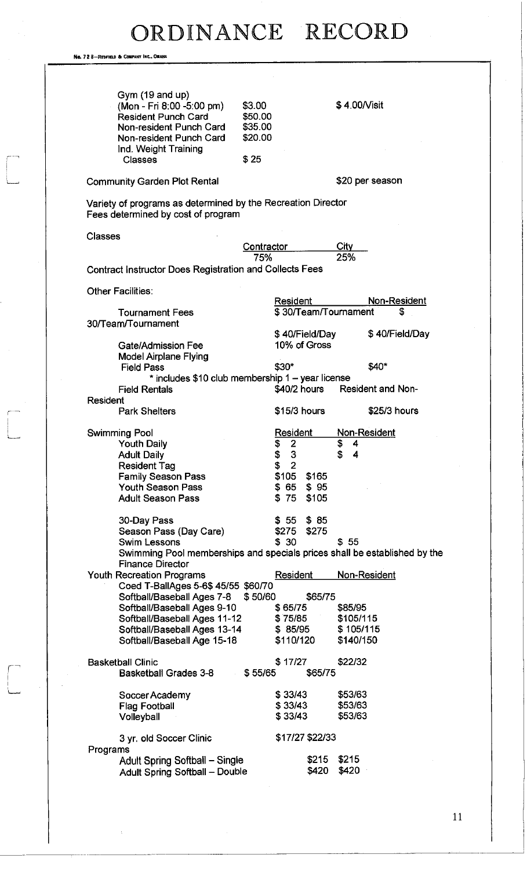No. 72 8-REDFIELD & COMPANY INC., ON

 $\begin{bmatrix} 1 & 1 \\ 1 & 1 \end{bmatrix}$ 

 $\begin{bmatrix} 1 \\ 1 \end{bmatrix}$ 

| Gym (19 and up)<br>(Mon - Fri 8:00 -5:00 pm)<br><b>Resident Punch Card</b><br>Non-resident Punch Card<br>Non-resident Punch Card<br>Ind. Weight Training<br>Classes | \$3.00<br>\$50.00<br>\$35.00<br>\$20.00<br>\$25  | \$4.00/Visit                                                              |  |
|---------------------------------------------------------------------------------------------------------------------------------------------------------------------|--------------------------------------------------|---------------------------------------------------------------------------|--|
| <b>Community Garden Plot Rental</b>                                                                                                                                 |                                                  | \$20 per season                                                           |  |
| Variety of programs as determined by the Recreation Director                                                                                                        |                                                  |                                                                           |  |
| Fees determined by cost of program                                                                                                                                  |                                                  |                                                                           |  |
| <b>Classes</b>                                                                                                                                                      |                                                  |                                                                           |  |
|                                                                                                                                                                     | Contractor                                       | City                                                                      |  |
|                                                                                                                                                                     | 75%                                              | 25%                                                                       |  |
| Contract Instructor Does Registration and Collects Fees                                                                                                             |                                                  |                                                                           |  |
| Other Facilities:                                                                                                                                                   |                                                  |                                                                           |  |
|                                                                                                                                                                     | <b>Resident</b>                                  | Non-Resident                                                              |  |
| <b>Tournament Fees</b>                                                                                                                                              |                                                  | \$30/Team/Tournament<br>S                                                 |  |
| 30/Team/Tournament                                                                                                                                                  |                                                  |                                                                           |  |
|                                                                                                                                                                     |                                                  | \$40/Field/Day<br>\$40/Field/Day                                          |  |
| Gate/Admission Fee                                                                                                                                                  |                                                  | 10% of Gross                                                              |  |
| <b>Model Airplane Flying</b>                                                                                                                                        |                                                  |                                                                           |  |
| <b>Field Pass</b>                                                                                                                                                   | \$30*                                            | \$40*                                                                     |  |
|                                                                                                                                                                     |                                                  |                                                                           |  |
|                                                                                                                                                                     | * includes \$10 club membership 1 - year license |                                                                           |  |
| <b>Field Rentals</b>                                                                                                                                                | \$40/2 hours                                     | <b>Resident and Non-</b>                                                  |  |
| <b>Resident</b><br><b>Park Shelters</b>                                                                                                                             | \$15/3 hours                                     | \$25/3 hours                                                              |  |
|                                                                                                                                                                     |                                                  |                                                                           |  |
| <b>Swimming Pool</b>                                                                                                                                                | Resident                                         | Non-Resident                                                              |  |
| <b>Youth Daily</b>                                                                                                                                                  | $\overline{2}$                                   | \$<br>4                                                                   |  |
| <b>Adult Daily</b>                                                                                                                                                  | \$<br>\$<br>3                                    | \$<br>4                                                                   |  |
| <b>Resident Tag</b>                                                                                                                                                 | \$2                                              |                                                                           |  |
| <b>Family Season Pass</b>                                                                                                                                           | \$105 \$165                                      |                                                                           |  |
| Youth Season Pass                                                                                                                                                   | $$65$ $$95$                                      |                                                                           |  |
| <b>Adult Season Pass</b>                                                                                                                                            | \$75                                             | \$105                                                                     |  |
|                                                                                                                                                                     |                                                  |                                                                           |  |
| 30-Day Pass                                                                                                                                                         | $$55$ $$85$                                      |                                                                           |  |
| Season Pass (Day Care)                                                                                                                                              | \$275 \$275                                      |                                                                           |  |
| <b>Swim Lessons</b>                                                                                                                                                 | \$30                                             | \$55                                                                      |  |
|                                                                                                                                                                     |                                                  | Swimming Pool memberships and specials prices shall be established by the |  |
| <b>Finance Director</b>                                                                                                                                             |                                                  |                                                                           |  |
| <b>Youth Recreation Programs</b>                                                                                                                                    | <b>Resident</b>                                  | Non-Resident                                                              |  |
| Coed T-BallAges 5-6\$ 45/55 \$60/70                                                                                                                                 |                                                  |                                                                           |  |
| Softball/Baseball Ages 7-8                                                                                                                                          | \$50/60                                          | \$65/75                                                                   |  |
| Softball/Baseball Ages 9-10                                                                                                                                         | \$65/75                                          | \$85/95                                                                   |  |
| Softball/Baseball Ages 11-12                                                                                                                                        | \$75/85                                          | \$105/115                                                                 |  |
| Softball/Baseball Ages 13-14                                                                                                                                        |                                                  | \$85/95<br>\$105/115                                                      |  |
| Softball/Baseball Age 15-18                                                                                                                                         | \$110/120                                        | \$140/150                                                                 |  |
| <b>Basketball Clinic</b>                                                                                                                                            | \$17/27                                          | \$22/32                                                                   |  |
| <b>Basketball Grades 3-8</b>                                                                                                                                        | \$55/65                                          | \$65/75                                                                   |  |
|                                                                                                                                                                     |                                                  |                                                                           |  |
| Soccer Academy                                                                                                                                                      | \$33/43                                          | \$53/63                                                                   |  |
| <b>Flag Football</b>                                                                                                                                                | \$33/43                                          | \$53/63                                                                   |  |
| Volleyball                                                                                                                                                          | \$33/43                                          | \$53/63                                                                   |  |
|                                                                                                                                                                     |                                                  |                                                                           |  |
|                                                                                                                                                                     | \$17/27 \$22/33                                  |                                                                           |  |
| 3 yr. old Soccer Clinic                                                                                                                                             |                                                  |                                                                           |  |
| Programs<br>Adult Spring Softball - Single                                                                                                                          |                                                  | \$215<br>\$215                                                            |  |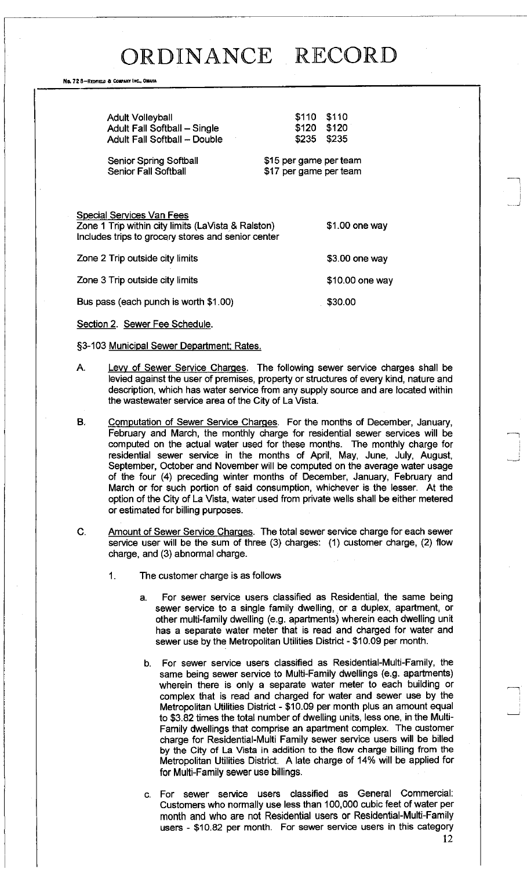No. 72 8-REDFIELD & COMPANY INC., OMAHA

| <b>Adult Volleyball</b><br>Adult Fall Softball - Single<br><b>Adult Fall Softball - Double</b>                                        | \$110 \$110<br>\$120 \$120<br>\$235 \$235        |                  |
|---------------------------------------------------------------------------------------------------------------------------------------|--------------------------------------------------|------------------|
| <b>Senior Spring Softball</b><br><b>Senior Fall Softball</b>                                                                          | \$15 per game per team<br>\$17 per game per team |                  |
| Special Services Van Fees<br>Zone 1 Trip within city limits (LaVista & Ralston)<br>Includes trips to grocery stores and senior center | $$1.00$ one way                                  |                  |
| Zone 2 Trip outside city limits                                                                                                       |                                                  | \$3.00 one way   |
| Zone 3 Trip outside city limits                                                                                                       |                                                  | $$10.00$ one way |
| Bus pass (each punch is worth \$1.00)                                                                                                 |                                                  | \$30.00          |

Section 2. Sewer Fee Schedule.

§3-103 Municipal Sewer Department; Rates.

- A. Levy of Sewer Service Charges. The following sewer service charges shall be levied against the user of premises, property or structures of every kind, nature and description, which has water service from any supply source and are located within the wastewater service area of the City of La Vista.
- B. Computation of Sewer Service Charges. For the months of December, January, February and March, the monthly charge for residential sewer services will be computed on the actual water used for these months. The monthly charge for residential sewer service in the months of April, May, June, July, August, September, October and November will be computed on the average water usage of the four (4) preceding winter months of December, January, February and March or for such portion of said consumption, whichever is the lesser. At the option of the City of La Vista, water used from private wells shall be either metered or estimated for billing purposes.
- C. Amount of Sewer Service Charges. The total sewer service charge for each sewer service user will be the sum of three (3) charges: (1) customer charge, (2) flow charge, and (3) abnormal charge.
	- 1. The customer charge is as follows
		- a. For sewer service users classified as Residential, the same being sewer service to a single family dwelling, or a duplex, apartment, or other multi-family dwelling (e.g. apartments) wherein each dwelling unit has a separate water meter that is read and charged for water and sewer use by the Metropolitan Utilities District - \$10.09 per month.
		- b. For sewer service users classified as Residential-Multi-Family, the same being sewer service to Multi-Family dwellings (e.g. apartments) wherein there is only a separate water meter to each building or complex that is read and charged for water and sewer use by the Metropolitan Utilities District - \$10.09 per month plus an amount equal to \$3.82 times the total number of dwelling units, less one, in the Multi-Family dwellings that comprise an apartment complex. The customer charge for Residential-Multi Family sewer service users will be billed by the City of La Vista in addition to the flow charge billing from the Metropolitan Utilities District. A late charge of 14% will be applied for for Multi-Family sewer use billings.
		- c. For sewer service users classified as General Commercial: Customers who normally use less than 100,000 cubic feet of water per month and who are not Residential users or Residential-Multi-Family users - \$10.82 per month. For sewer service users in this category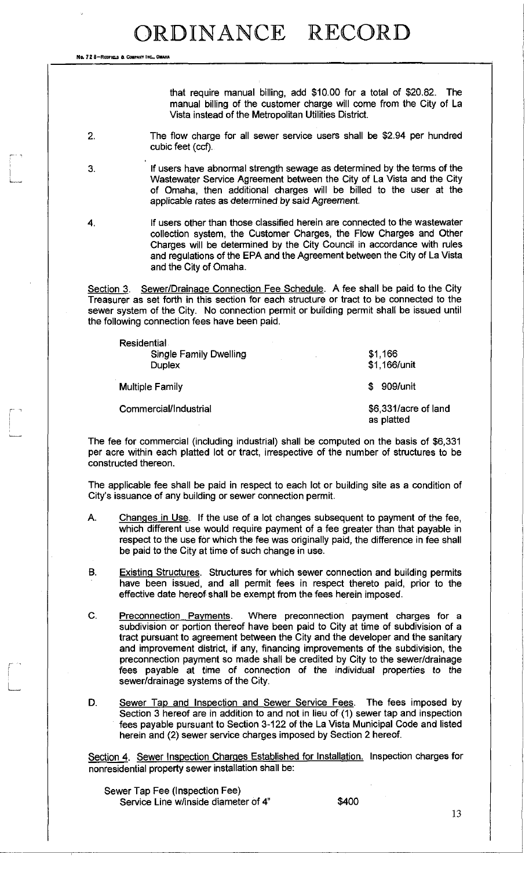No. 72 8-REDEVELD & COMPANY INC.

that require manual billing, add \$10.00 for a total of \$20,82. The manual billing of the customer charge will come from the City of La Vista instead of the Metropolitan Utilities District.

- 2. The flow charge for all sewer service users shall be \$2.94 per hundred cubic feet (ccf).
- 3. If users have abnormal strength sewage as determined by the terms of the Wastewater Service Agreement between the City of La Vista and the City of Omaha, then additional charges will be billed to the user at the applicable rates as determined by said Agreement.
- 

1

4. If users other than those classified herein are connected to the wastewater collection system, the Customer Charges, the Flow Charges and Other Charges will be determined by the City Council in accordance with rules and regulations of the EPA and the Agreement between the City of La Vista and the City of Omaha.

Section 3. Sewer/Drainage Connection Fee Schedule. A fee shall be paid to the City Treasurer as set forth in this section for each structure or tract to be connected to the sewer system of the City. No connection permit or building permit shall be issued until the following connection fees have been paid.

| <b>Residential</b>     |                                    |  |
|------------------------|------------------------------------|--|
| Single Family Dwelling | \$1,166                            |  |
| <b>Duplex</b>          | \$1,166/unit                       |  |
| <b>Multiple Family</b> | \$ 909/unit                        |  |
| Commercial/Industrial  | \$6,331/acre of land<br>as platted |  |

The fee for commercial (including industrial) shall be computed on the basis of \$6,331 per acre within each platted lot or tract, irrespective of the number of structures to be constructed thereon.

The applicable fee shall be paid in respect to each lot or building site as a condition of City's issuance of any building or sewer connection permit.

- A. Changes in Use. If the use of a lot changes subsequent to payment of the fee, which different use would require payment of a fee greater than that payable in respect to the use for which the fee was originally paid, the difference in fee shall be paid to the City at time of such change in use.
- B. Existing Structures. Structures for which sewer connection and building permits have been issued, and all permit fees in respect thereto paid, prior to the effective date hereof shall be exempt from the fees herein imposed.
- C. Preconnection Payments. Where preconnection payment charges for a subdivision or portion thereof have been paid to City at time of subdivision of a tract pursuant to agreement between the City and the developer and the sanitary and improvement district, if any, financing improvements of the subdivision, the preconnection payment so made shall be credited by City to the sewer/drainage fees payable at time of connection of the individual properties to the sewer/drainage systems of the City.
- D. Sewer Tap and Inspection and Sewer Service Fees. The fees imposed by Section 3 hereof are in addition to and not in lieu of (1) sewer tap and inspection fees payable pursuant to Section 3-122 of the La Vista Municipal Code and listed herein and (2) sewer service charges imposed by Section 2 hereof.

Section 4. Sewer Inspection Charges Established for Installation. Inspection charges for nonresidential property sewer installation shall be:

Sewer Tap Fee (Inspection Fee) Service Line w/inside diameter of 4" \$400